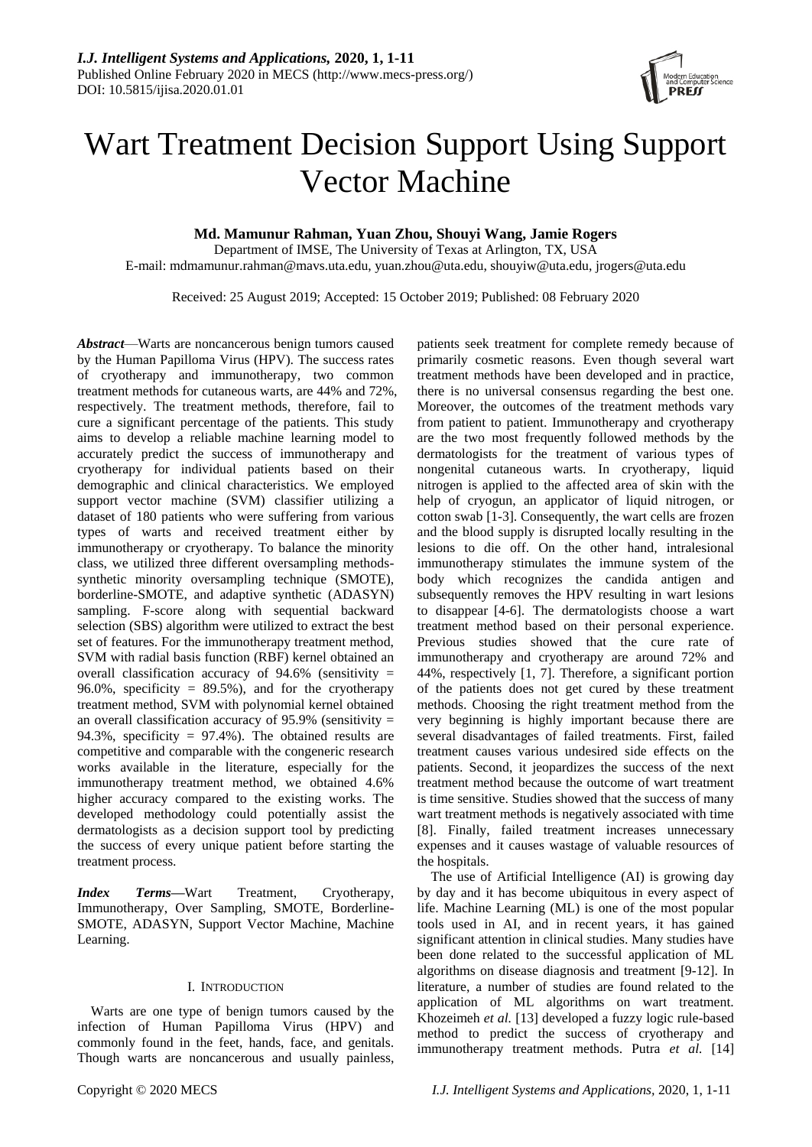

# Wart Treatment Decision Support Using Support Vector Machine

**Md. Mamunur Rahman, Yuan Zhou, Shouyi Wang, Jamie Rogers**

Department of IMSE, The University of Texas at Arlington, TX, USA E-mail: mdmamunur.rahman@mavs.uta.edu, yuan.zhou@uta.edu, shouyiw@uta.edu, jrogers@uta.edu

Received: 25 August 2019; Accepted: 15 October 2019; Published: 08 February 2020

*Abstract*—Warts are noncancerous benign tumors caused by the Human Papilloma Virus (HPV). The success rates of cryotherapy and immunotherapy, two common treatment methods for cutaneous warts, are 44% and 72%, respectively. The treatment methods, therefore, fail to cure a significant percentage of the patients. This study aims to develop a reliable machine learning model to accurately predict the success of immunotherapy and cryotherapy for individual patients based on their demographic and clinical characteristics. We employed support vector machine (SVM) classifier utilizing a dataset of 180 patients who were suffering from various types of warts and received treatment either by immunotherapy or cryotherapy. To balance the minority class, we utilized three different oversampling methodssynthetic minority oversampling technique (SMOTE), borderline-SMOTE, and adaptive synthetic (ADASYN) sampling. F-score along with sequential backward selection (SBS) algorithm were utilized to extract the best set of features. For the immunotherapy treatment method, SVM with radial basis function (RBF) kernel obtained an overall classification accuracy of 94.6% (sensitivity = 96.0%, specificity =  $89.5\%$ ), and for the cryotherapy treatment method, SVM with polynomial kernel obtained an overall classification accuracy of  $95.9\%$  (sensitivity = 94.3%, specificity = 97.4%). The obtained results are competitive and comparable with the congeneric research works available in the literature, especially for the immunotherapy treatment method, we obtained 4.6% higher accuracy compared to the existing works. The developed methodology could potentially assist the dermatologists as a decision support tool by predicting the success of every unique patient before starting the treatment process.

*Index Terms***—**Wart Treatment, Cryotherapy, Immunotherapy, Over Sampling, SMOTE, Borderline-SMOTE, ADASYN, Support Vector Machine, Machine Learning.

# I. INTRODUCTION

Warts are one type of benign tumors caused by the infection of Human Papilloma Virus (HPV) and commonly found in the feet, hands, face, and genitals. Though warts are noncancerous and usually painless, patients seek treatment for complete remedy because of primarily cosmetic reasons. Even though several wart treatment methods have been developed and in practice, there is no universal consensus regarding the best one. Moreover, the outcomes of the treatment methods vary from patient to patient. Immunotherapy and cryotherapy are the two most frequently followed methods by the dermatologists for the treatment of various types of nongenital cutaneous warts. In cryotherapy, liquid nitrogen is applied to the affected area of skin with the help of cryogun, an applicator of liquid nitrogen, or cotton swab [1-3]. Consequently, the wart cells are frozen and the blood supply is disrupted locally resulting in the lesions to die off. On the other hand, intralesional immunotherapy stimulates the immune system of the body which recognizes the candida antigen and subsequently removes the HPV resulting in wart lesions to disappear [4-6]. The dermatologists choose a wart treatment method based on their personal experience. Previous studies showed that the cure rate of immunotherapy and cryotherapy are around 72% and 44%, respectively [1, 7]. Therefore, a significant portion of the patients does not get cured by these treatment methods. Choosing the right treatment method from the very beginning is highly important because there are several disadvantages of failed treatments. First, failed treatment causes various undesired side effects on the patients. Second, it jeopardizes the success of the next treatment method because the outcome of wart treatment is time sensitive. Studies showed that the success of many wart treatment methods is negatively associated with time [8]. Finally, failed treatment increases unnecessary expenses and it causes wastage of valuable resources of the hospitals.

The use of Artificial Intelligence (AI) is growing day by day and it has become ubiquitous in every aspect of life. Machine Learning (ML) is one of the most popular tools used in AI, and in recent years, it has gained significant attention in clinical studies. Many studies have been done related to the successful application of ML algorithms on disease diagnosis and treatment [9-12]. In literature, a number of studies are found related to the application of ML algorithms on wart treatment. Khozeimeh *et al.* [13] developed a fuzzy logic rule-based method to predict the success of cryotherapy and immunotherapy treatment methods. Putra *et al.* [14]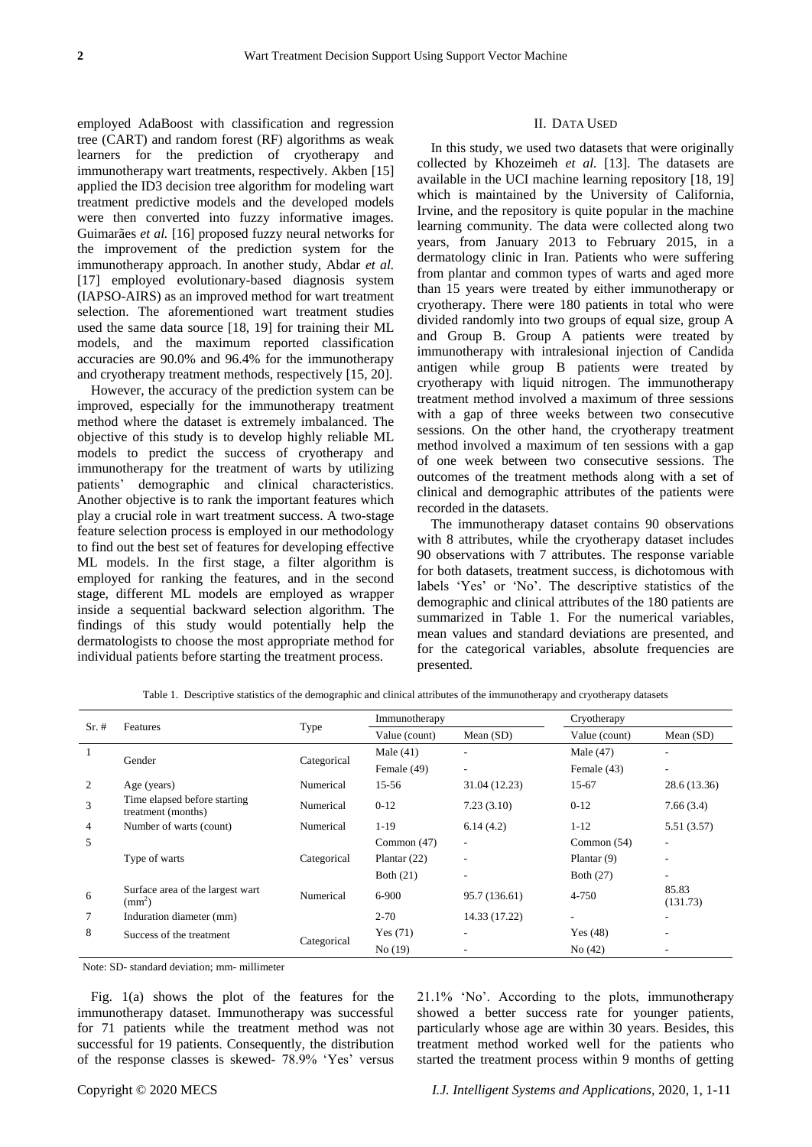employed AdaBoost with classification and regression tree (CART) and random forest (RF) algorithms as weak learners for the prediction of cryotherapy and immunotherapy wart treatments, respectively. Akben [15] applied the ID3 decision tree algorithm for modeling wart treatment predictive models and the developed models were then converted into fuzzy informative images. Guimarães *et al.* [16] proposed fuzzy neural networks for the improvement of the prediction system for the immunotherapy approach. In another study, Abdar *et al.* [17] employed evolutionary-based diagnosis system (IAPSO-AIRS) as an improved method for wart treatment selection. The aforementioned wart treatment studies used the same data source [18, 19] for training their ML models, and the maximum reported classification accuracies are 90.0% and 96.4% for the immunotherapy and cryotherapy treatment methods, respectively [15, 20].

However, the accuracy of the prediction system can be improved, especially for the immunotherapy treatment method where the dataset is extremely imbalanced. The objective of this study is to develop highly reliable ML models to predict the success of cryotherapy and immunotherapy for the treatment of warts by utilizing patients' demographic and clinical characteristics. Another objective is to rank the important features which play a crucial role in wart treatment success. A two-stage feature selection process is employed in our methodology to find out the best set of features for developing effective ML models. In the first stage, a filter algorithm is employed for ranking the features, and in the second stage, different ML models are employed as wrapper inside a sequential backward selection algorithm. The findings of this study would potentially help the dermatologists to choose the most appropriate method for individual patients before starting the treatment process.

#### II. DATA USED

In this study, we used two datasets that were originally collected by Khozeimeh *et al.* [13]. The datasets are available in the UCI machine learning repository [18, 19] which is maintained by the University of California, Irvine, and the repository is quite popular in the machine learning community. The data were collected along two years, from January 2013 to February 2015, in a dermatology clinic in Iran. Patients who were suffering from plantar and common types of warts and aged more than 15 years were treated by either immunotherapy or cryotherapy. There were 180 patients in total who were divided randomly into two groups of equal size, group A and Group B. Group A patients were treated by immunotherapy with intralesional injection of Candida antigen while group B patients were treated by cryotherapy with liquid nitrogen. The immunotherapy treatment method involved a maximum of three sessions with a gap of three weeks between two consecutive sessions. On the other hand, the cryotherapy treatment method involved a maximum of ten sessions with a gap of one week between two consecutive sessions. The outcomes of the treatment methods along with a set of clinical and demographic attributes of the patients were recorded in the datasets.

The immunotherapy dataset contains 90 observations with 8 attributes, while the cryotherapy dataset includes 90 observations with 7 attributes. The response variable for both datasets, treatment success, is dichotomous with labels 'Yes' or 'No'. The descriptive statistics of the demographic and clinical attributes of the 180 patients are summarized in Table 1. For the numerical variables, mean values and standard deviations are presented, and for the categorical variables, absolute frequencies are presented.

| $Sr. \#$ | <b>Features</b>                                    |             | Immunotherapy  |               | Cryotherapy              |                   |  |  |
|----------|----------------------------------------------------|-------------|----------------|---------------|--------------------------|-------------------|--|--|
|          |                                                    | Type        | Value (count)  | Mean $(SD)$   | Value (count)            | Mean $(SD)$       |  |  |
|          |                                                    |             | Male $(41)$    | ٠             | Male $(47)$              | ۰                 |  |  |
|          | Gender                                             | Categorical | Female (49)    | ۰.            | Female (43)              | ٠                 |  |  |
| 2        | Age (years)                                        | Numerical   | $15 - 56$      | 31.04 (12.23) | 15-67                    | 28.6 (13.36)      |  |  |
| 3        | Time elapsed before starting<br>treatment (months) | Numerical   | $0 - 12$       | 7.23(3.10)    | $0-12$                   | 7.66(3.4)         |  |  |
| 4        | Number of warts (count)                            | Numerical   | $1-19$         | 6.14(4.2)     | $1 - 12$                 | 5.51(3.57)        |  |  |
| 5        |                                                    |             | Common $(47)$  | ۰.            | Common $(54)$            | ٠                 |  |  |
|          | Type of warts                                      | Categorical | Plantar $(22)$ | ٠             | Plantar $(9)$            | ۰                 |  |  |
|          |                                                    |             | Both $(21)$    |               | Both (27)                | ۰                 |  |  |
| 6        | Surface area of the largest wart<br>$(mm^2)$       | Numerical   | $6-900$        | 95.7 (136.61) | 4-750                    | 85.83<br>(131.73) |  |  |
| 7        | Induration diameter (mm)                           |             |                | 14.33 (17.22) | $\overline{\phantom{a}}$ | ۰                 |  |  |
| 8        | Success of the treatment                           | Categorical | Yes $(71)$     | ٠             | Yes $(48)$               | ٠                 |  |  |
|          |                                                    |             | No(19)         |               | No(42)                   |                   |  |  |

Table 1. Descriptive statistics of the demographic and clinical attributes of the immunotherapy and cryotherapy datasets

Note: SD- standard deviation; mm- millimeter

Fig. 1(a) shows the plot of the features for the immunotherapy dataset. Immunotherapy was successful for 71 patients while the treatment method was not successful for 19 patients. Consequently, the distribution of the response classes is skewed- 78.9% 'Yes' versus 21.1% 'No'. According to the plots, immunotherapy showed a better success rate for younger patients, particularly whose age are within 30 years. Besides, this treatment method worked well for the patients who started the treatment process within 9 months of getting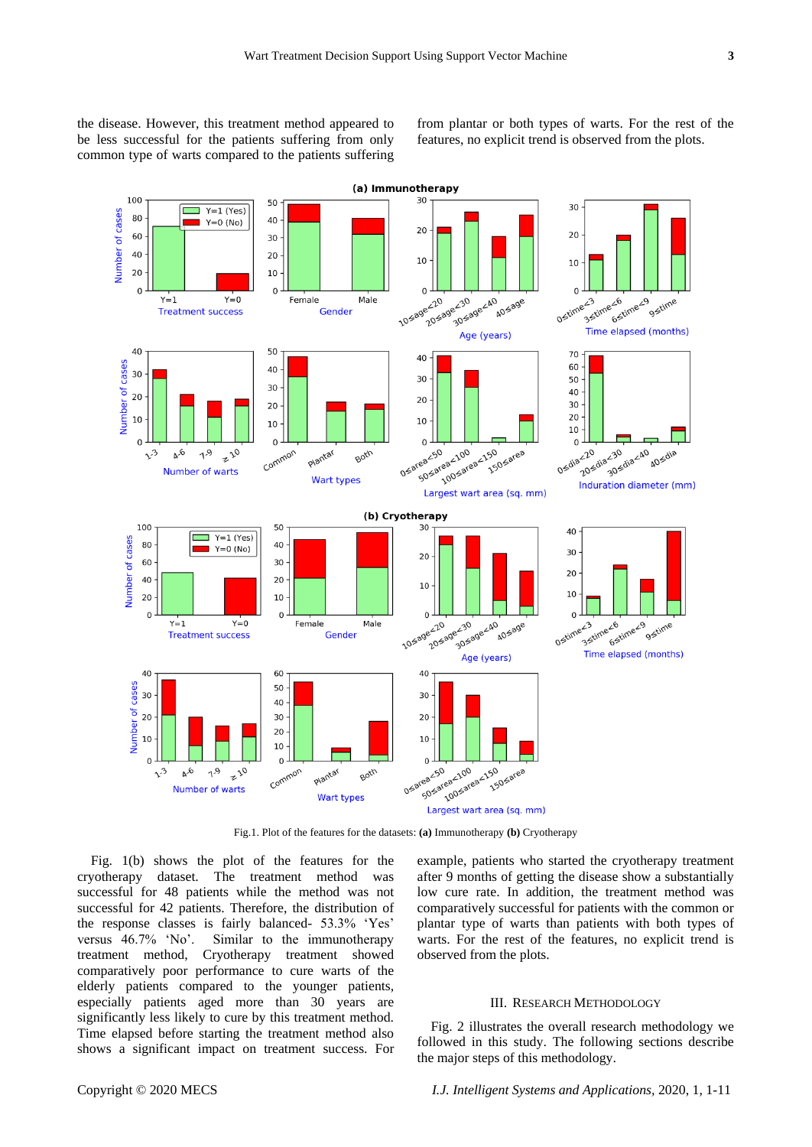the disease. However, this treatment method appeared to be less successful for the patients suffering from only common type of warts compared to the patients suffering from plantar or both types of warts. For the rest of the features, no explicit trend is observed from the plots.



Fig.1. Plot of the features for the datasets: **(a)** Immunotherapy **(b)** Cryotherapy

Fig. 1(b) shows the plot of the features for the cryotherapy dataset. The treatment method was successful for 48 patients while the method was not successful for 42 patients. Therefore, the distribution of the response classes is fairly balanced- 53.3% 'Yes' versus 46.7% 'No'. Similar to the immunotherapy treatment method, Cryotherapy treatment showed comparatively poor performance to cure warts of the elderly patients compared to the younger patients, especially patients aged more than 30 years are significantly less likely to cure by this treatment method. Time elapsed before starting the treatment method also shows a significant impact on treatment success. For example, patients who started the cryotherapy treatment after 9 months of getting the disease show a substantially low cure rate. In addition, the treatment method was comparatively successful for patients with the common or plantar type of warts than patients with both types of warts. For the rest of the features, no explicit trend is observed from the plots.

#### III. RESEARCH METHODOLOGY

Fig. 2 illustrates the overall research methodology we followed in this study. The following sections describe the major steps of this methodology.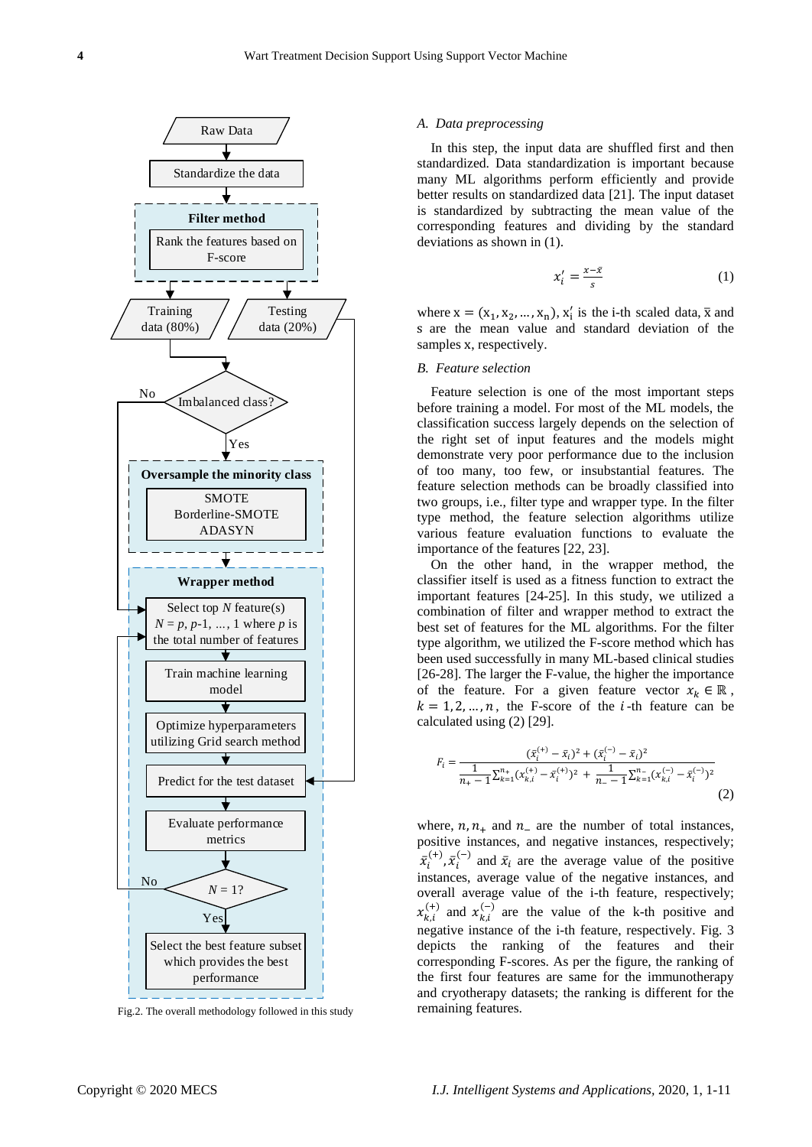

Fig.2. The overall methodology followed in this study

#### *A. Data preprocessing*

In this step, the input data are shuffled first and then standardized. Data standardization is important because many ML algorithms perform efficiently and provide better results on standardized data [21]. The input dataset is standardized by subtracting the mean value of the corresponding features and dividing by the standard deviations as shown in (1).

$$
x_i' = \frac{x - \bar{x}}{s} \tag{1}
$$

where  $x = (x_1, x_2, ..., x_n), x'_i$  is the i-th scaled data,  $\bar{x}$  and s are the mean value and standard deviation of the samples x, respectively.

# *B. Feature selection*

Feature selection is one of the most important steps before training a model. For most of the ML models, the classification success largely depends on the selection of the right set of input features and the models might demonstrate very poor performance due to the inclusion of too many, too few, or insubstantial features. The feature selection methods can be broadly classified into two groups, i.e., filter type and wrapper type. In the filter type method, the feature selection algorithms utilize various feature evaluation functions to evaluate the importance of the features [22, 23].

On the other hand, in the wrapper method, the classifier itself is used as a fitness function to extract the important features [24-25]. In this study, we utilized a combination of filter and wrapper method to extract the best set of features for the ML algorithms. For the filter type algorithm, we utilized the F-score method which has been used successfully in many ML-based clinical studies [26-28]. The larger the F-value, the higher the importance of the feature. For a given feature vector  $x_k \in \mathbb{R}$ ,  $k = 1, 2, ..., n$ , the F-score of the *i*-th feature can be calculated using (2) [29].

$$
F_i = \frac{(\bar{x}_i^{(+)}-\bar{x}_i)^2 + (\bar{x}_i^{(-)}-\bar{x}_i)^2}{\frac{1}{n_+-1}\sum_{k=1}^{n_+} (x_{k,i}^{(+)}-\bar{x}_i^{(+)})^2 + \frac{1}{n_--1}\sum_{k=1}^{n_-} (x_{k,i}^{(-)}-\bar{x}_i^{(-)})^2}
$$
(2)

where,  $n, n_{+}$  and  $n_{-}$  are the number of total instances, positive instances, and negative instances, respectively;  $\bar{x}_i^{\scriptscriptstyle (}$  $_{i}^{(+)}, \bar{x}_{i}^{(+)}$  $\bar{x}_i^{(-)}$  and  $\bar{x}_i$  are the average value of the positive instances, average value of the negative instances, and overall average value of the i-th feature, respectively;  $x_{k,i}^{(+)}$  and  $x_{k,i}^{(-)}$  are the value of the k-th positive and negative instance of the i-th feature, respectively. Fig. 3 depicts the ranking of the features and their corresponding F-scores. As per the figure, the ranking of the first four features are same for the immunotherapy and cryotherapy datasets; the ranking is different for the remaining features.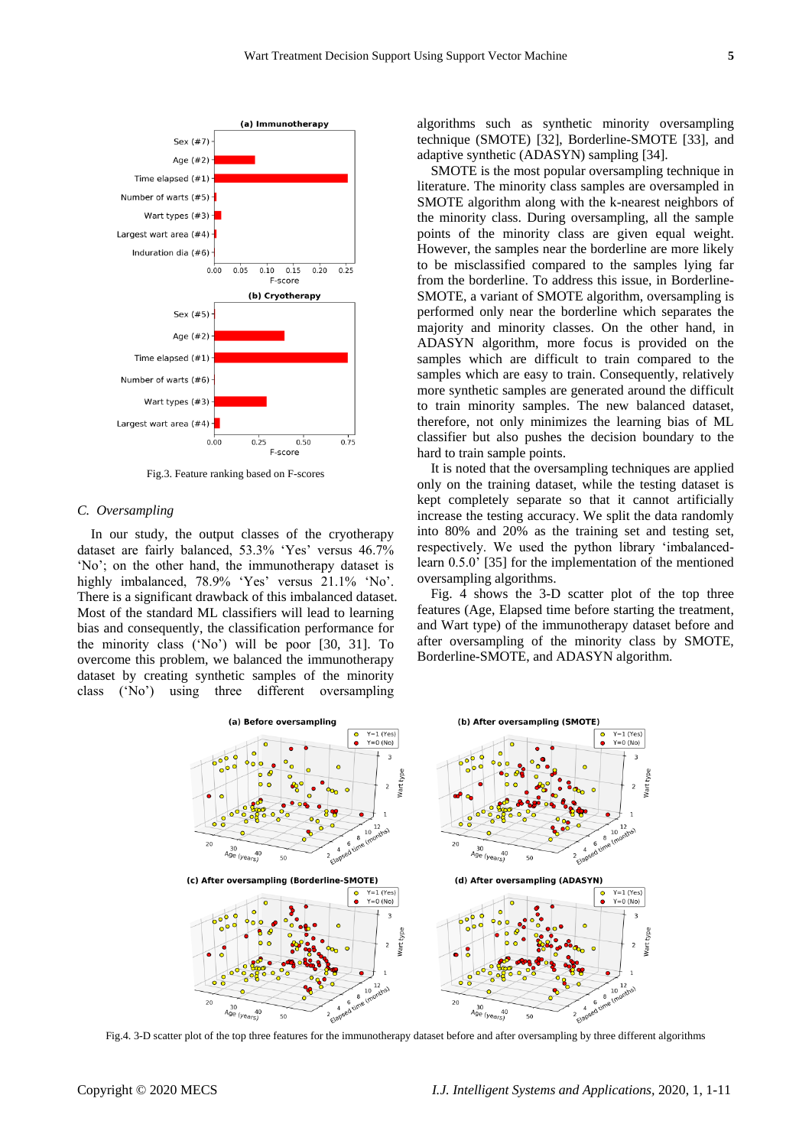

Fig.3. Feature ranking based on F-scores

#### *C. Oversampling*

In our study, the output classes of the cryotherapy dataset are fairly balanced, 53.3% 'Yes' versus 46.7% 'No'; on the other hand, the immunotherapy dataset is highly imbalanced, 78.9% 'Yes' versus 21.1% 'No'. There is a significant drawback of this imbalanced dataset. Most of the standard ML classifiers will lead to learning bias and consequently, the classification performance for the minority class ('No') will be poor [30, 31]. To overcome this problem, we balanced the immunotherapy dataset by creating synthetic samples of the minority class ('No') using three different oversampling

algorithms such as synthetic minority oversampling technique (SMOTE) [32], Borderline-SMOTE [33], and adaptive synthetic (ADASYN) sampling [34].

SMOTE is the most popular oversampling technique in literature. The minority class samples are oversampled in SMOTE algorithm along with the k-nearest neighbors of the minority class. During oversampling, all the sample points of the minority class are given equal weight. However, the samples near the borderline are more likely to be misclassified compared to the samples lying far from the borderline. To address this issue, in Borderline-SMOTE, a variant of SMOTE algorithm, oversampling is performed only near the borderline which separates the majority and minority classes. On the other hand, in ADASYN algorithm, more focus is provided on the samples which are difficult to train compared to the samples which are easy to train. Consequently, relatively more synthetic samples are generated around the difficult to train minority samples. The new balanced dataset, therefore, not only minimizes the learning bias of ML classifier but also pushes the decision boundary to the hard to train sample points.

It is noted that the oversampling techniques are applied only on the training dataset, while the testing dataset is kept completely separate so that it cannot artificially increase the testing accuracy. We split the data randomly into 80% and 20% as the training set and testing set, respectively. We used the python library 'imbalancedlearn 0.5.0' [35] for the implementation of the mentioned oversampling algorithms.

Fig. 4 shows the 3-D scatter plot of the top three features (Age, Elapsed time before starting the treatment, and Wart type) of the immunotherapy dataset before and after oversampling of the minority class by SMOTE, Borderline-SMOTE, and ADASYN algorithm.



Fig.4. 3-D scatter plot of the top three features for the immunotherapy dataset before and after oversampling by three different algorithms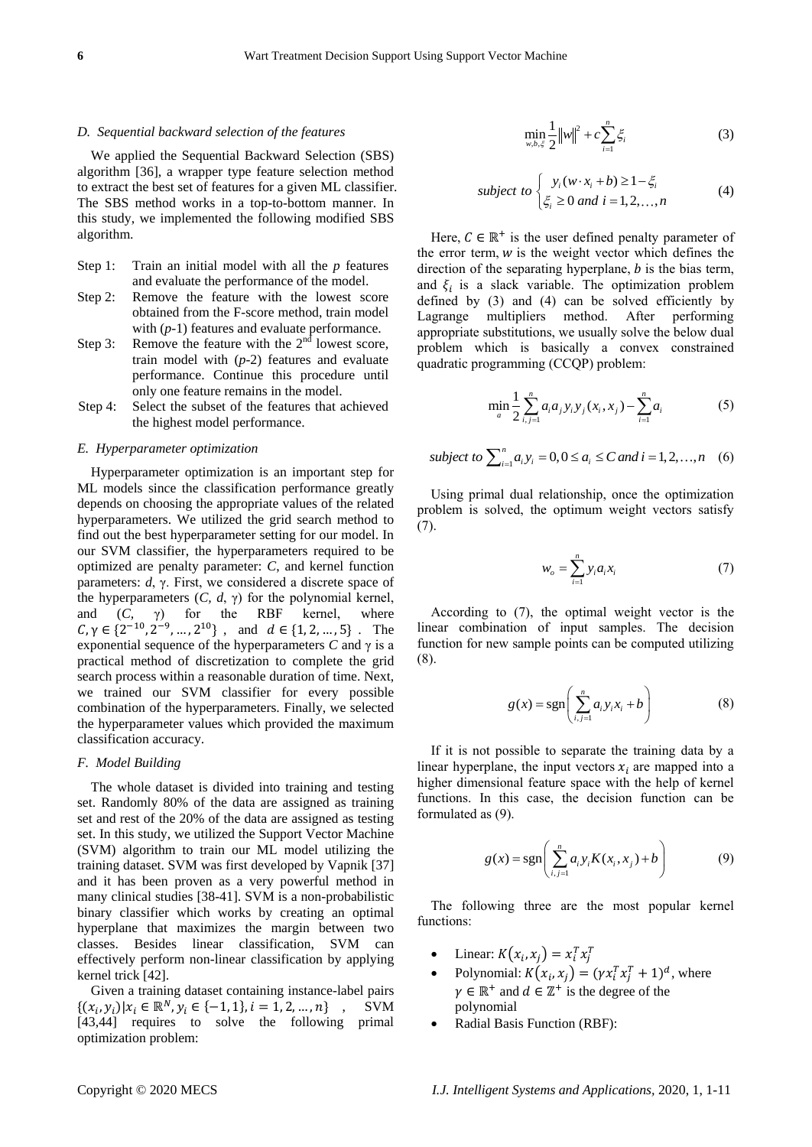#### *D. Sequential backward selection of the features*

We applied the Sequential Backward Selection (SBS) algorithm [36], a wrapper type feature selection method to extract the best set of features for a given ML classifier. The SBS method works in a top-to-bottom manner. In this study, we implemented the following modified SBS algorithm.

- Step 1: Train an initial model with all the *p* features and evaluate the performance of the model.
- Step 2: Remove the feature with the lowest score obtained from the F-score method, train model with (*p*-1) features and evaluate performance.
- Step 3: Remove the feature with the  $2<sup>nd</sup>$  lowest score, train model with (*p*-2) features and evaluate performance. Continue this procedure until only one feature remains in the model.
- Step 4: Select the subset of the features that achieved the highest model performance.

#### *E. Hyperparameter optimization*

Hyperparameter optimization is an important step for ML models since the classification performance greatly depends on choosing the appropriate values of the related hyperparameters. We utilized the grid search method to find out the best hyperparameter setting for our model. In our SVM classifier, the hyperparameters required to be optimized are penalty parameter: *C*, and kernel function parameters: *d*, γ. First, we considered a discrete space of the hyperparameters  $(C, d, \gamma)$  for the polynomial kernel, and (*C,* γ) for the RBF kernel, where  $C, \gamma \in \{2^{-10}, 2^{-9}, ..., 2^{10}\}$ , and  $d \in \{1, 2, ..., 5\}$ . The exponential sequence of the hyperparameters  $C$  and  $\gamma$  is a practical method of discretization to complete the grid search process within a reasonable duration of time. Next, we trained our SVM classifier for every possible combination of the hyperparameters. Finally, we selected the hyperparameter values which provided the maximum classification accuracy.

#### *F. Model Building*

The whole dataset is divided into training and testing set. Randomly 80% of the data are assigned as training set and rest of the 20% of the data are assigned as testing set. In this study, we utilized the Support Vector Machine (SVM) algorithm to train our ML model utilizing the training dataset. SVM was first developed by Vapnik [37] and it has been proven as a very powerful method in many clinical studies [38-41]. SVM is a non-probabilistic binary classifier which works by creating an optimal hyperplane that maximizes the margin between two classes. Besides linear classification, SVM can effectively perform non-linear classification by applying kernel trick [42].

Given a training dataset containing instance-label pairs  $\{(x_i, y_i)|x_i \in \mathbb{R}^N, y_i \in \{-1, 1\}, i = 1, 2, ..., n\}$ , SVM [43,44] requires to solve the following primal optimization problem:

$$
\min_{w,b,\xi} \frac{1}{2} ||w||^2 + c \sum_{i=1}^n \xi_i
$$
 (3)

subject to 
$$
\begin{cases} y_i(w \cdot x_i + b) \ge 1 - \xi_i \\ \xi_i \ge 0 \text{ and } i = 1, 2, ..., n \end{cases}
$$
 (4)

Here,  $C \in \mathbb{R}^+$  is the user defined penalty parameter of the error term,  $w$  is the weight vector which defines the direction of the separating hyperplane,  $b$  is the bias term, and  $\xi_i$  is a slack variable. The optimization problem defined by  $(3)$  and  $(4)$  can be solved efficiently by Lagrange multipliers method. After performing appropriate substitutions, we usually solve the below dual problem which is basically a convex constrained quadratic programming (CCQP) problem:

$$
\min_{a} \frac{1}{2} \sum_{i,j=1}^{n} a_i a_j y_i y_j (x_i, x_j) - \sum_{i=1}^{n} a_i
$$
 (5)

subject to 
$$
\sum_{i=1}^{n} a_i y_i = 0, 0 \le a_i \le C
$$
 and  $i = 1, 2, ..., n$  (6)

Using primal dual relationship, once the optimization problem is solved, the optimum weight vectors satisfy (7).

$$
w_o = \sum_{i=1}^{n} y_i a_i x_i
$$
 (7)

According to (7), the optimal weight vector is the linear combination of input samples. The decision function for new sample points can be computed utilizing (8).

$$
g(x) = \operatorname{sgn}\left(\sum_{i,j=1}^{n} a_i y_i x_i + b\right) \tag{8}
$$

If it is not possible to separate the training data by a linear hyperplane, the input vectors  $x_i$  are mapped into a higher dimensional feature space with the help of kernel functions. In this case, the decision function can be formulated as (9).

$$
g(x) = \text{sgn}\left(\sum_{i,j=1}^{n} a_i y_i K(x_i, x_j) + b\right)
$$
 (9)

The following three are the most popular kernel functions:

- Linear:  $K(x_i, x_j) = x_i^T x_j^T$
- Polynomial:  $K(x_i, x_j) = (\gamma x_i^T x_j^T + 1)^d$ , where  $\gamma \in \mathbb{R}^+$  and  $d \in \mathbb{Z}^+$  is the degree of the polynomial
- Radial Basis Function (RBF):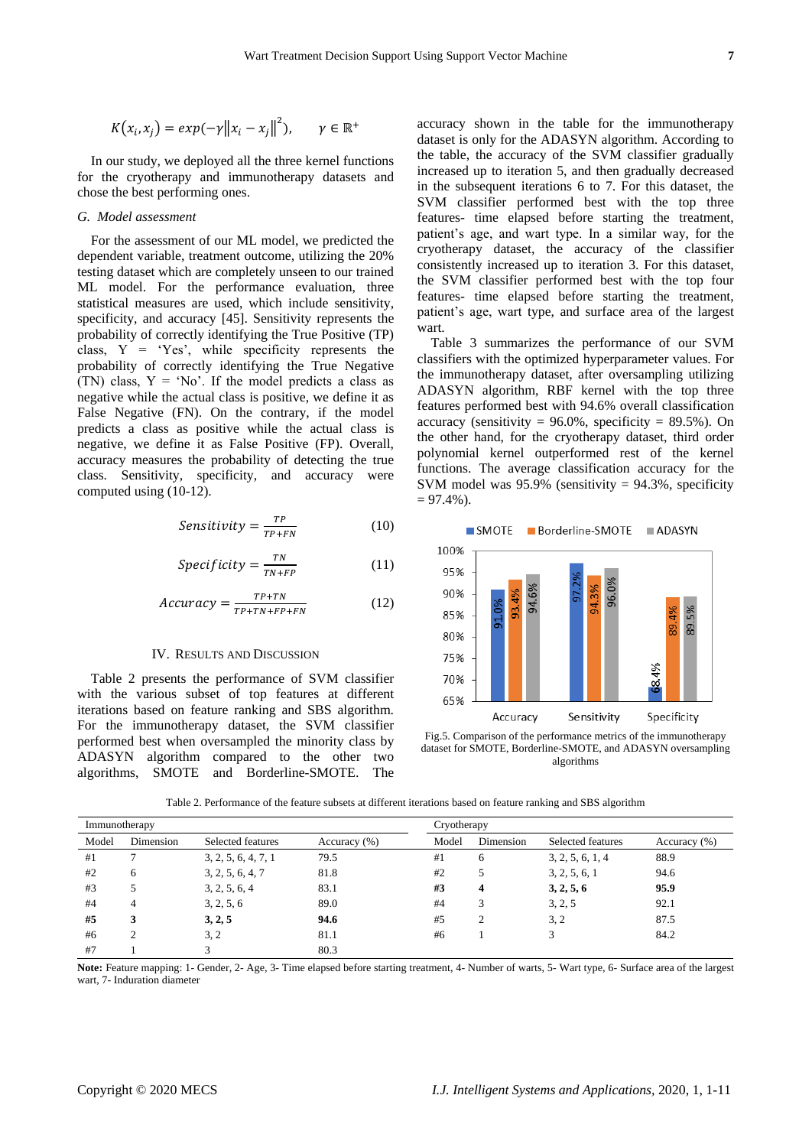$$
K(x_i, x_j) = exp(-\gamma ||x_i - x_j||^2), \qquad \gamma \in \mathbb{R}^+
$$

In our study, we deployed all the three kernel functions for the cryotherapy and immunotherapy datasets and chose the best performing ones.

# *G. Model assessment*

For the assessment of our ML model, we predicted the dependent variable, treatment outcome, utilizing the 20% testing dataset which are completely unseen to our trained ML model. For the performance evaluation, three statistical measures are used, which include sensitivity, specificity, and accuracy [45]. Sensitivity represents the probability of correctly identifying the True Positive (TP) class, Y = 'Yes', while specificity represents the probability of correctly identifying the True Negative (TN) class,  $Y = 'No'.$  If the model predicts a class as negative while the actual class is positive, we define it as False Negative (FN). On the contrary, if the model predicts a class as positive while the actual class is negative, we define it as False Positive (FP). Overall, accuracy measures the probability of detecting the true class. Sensitivity, specificity, and accuracy were computed using (10-12).

$$
Sensitivity = \frac{TP}{TP + FN}
$$
 (10)

$$
Specificity = \frac{TN}{TN + FP}
$$
 (11)

$$
Accuracy = \frac{TP + TN}{TP + TN + FP + FN}
$$
 (12)

## IV. RESULTS AND DISCUSSION

Table 2 presents the performance of SVM classifier with the various subset of top features at different iterations based on feature ranking and SBS algorithm. For the immunotherapy dataset, the SVM classifier performed best when oversampled the minority class by ADASYN algorithm compared to the other two algorithms, SMOTE and Borderline-SMOTE. The

accuracy shown in the table for the immunotherapy dataset is only for the ADASYN algorithm. According to the table, the accuracy of the SVM classifier gradually increased up to iteration 5, and then gradually decreased in the subsequent iterations 6 to 7. For this dataset, the SVM classifier performed best with the top three features- time elapsed before starting the treatment, patient's age, and wart type. In a similar way, for the cryotherapy dataset, the accuracy of the classifier consistently increased up to iteration 3. For this dataset, the SVM classifier performed best with the top four features- time elapsed before starting the treatment, patient's age, wart type, and surface area of the largest wart.

Table 3 summarizes the performance of our SVM classifiers with the optimized hyperparameter values. For the immunotherapy dataset, after oversampling utilizing ADASYN algorithm, RBF kernel with the top three features performed best with 94.6% overall classification accuracy (sensitivity =  $96.0\%$ , specificity =  $89.5\%$ ). On the other hand, for the cryotherapy dataset, third order polynomial kernel outperformed rest of the kernel functions. The average classification accuracy for the SVM model was  $95.9\%$  (sensitivity =  $94.3\%$ , specificity  $= 97.4\%$ ).

SMOTE Borderline-SMOTE ADASYN



Fig.5. Comparison of the performance metrics of the immunotherapy dataset for SMOTE, Borderline-SMOTE, and ADASYN oversampling algorithms

Table 2. Performance of the feature subsets at different iterations based on feature ranking and SBS algorithm

| Immunotherapy |           |                     |                  | Cryotherapy |           |                   |              |  |  |
|---------------|-----------|---------------------|------------------|-------------|-----------|-------------------|--------------|--|--|
| Model         | Dimension | Selected features   | Accuracy $(\% )$ | Model       | Dimension | Selected features | Accuracy (%) |  |  |
| #1            |           | 3, 2, 5, 6, 4, 7, 1 | 79.5             | #1          | 6         | 3, 2, 5, 6, 1, 4  | 88.9         |  |  |
| #2            | 6         | 3, 2, 5, 6, 4, 7    | 81.8             | #2          |           | 3, 2, 5, 6, 1     | 94.6         |  |  |
| #3            |           | 3, 2, 5, 6, 4       | 83.1             | #3          | 4         | 3, 2, 5, 6        | 95.9         |  |  |
| #4            | 4         | 3, 2, 5, 6          | 89.0             | #4          |           | 3, 2, 5           | 92.1         |  |  |
| #5            | 3         | 3, 2, 5             | 94.6             | #5          | 2         | 3.2               | 87.5         |  |  |
| #6            | ↑         | 3, 2                | 81.1             | #6          |           | 3                 | 84.2         |  |  |
| #7            |           | 3                   | 80.3             |             |           |                   |              |  |  |

**Note:** Feature mapping: 1- Gender, 2- Age, 3- Time elapsed before starting treatment, 4- Number of warts, 5- Wart type, 6- Surface area of the largest wart, 7- Induration diameter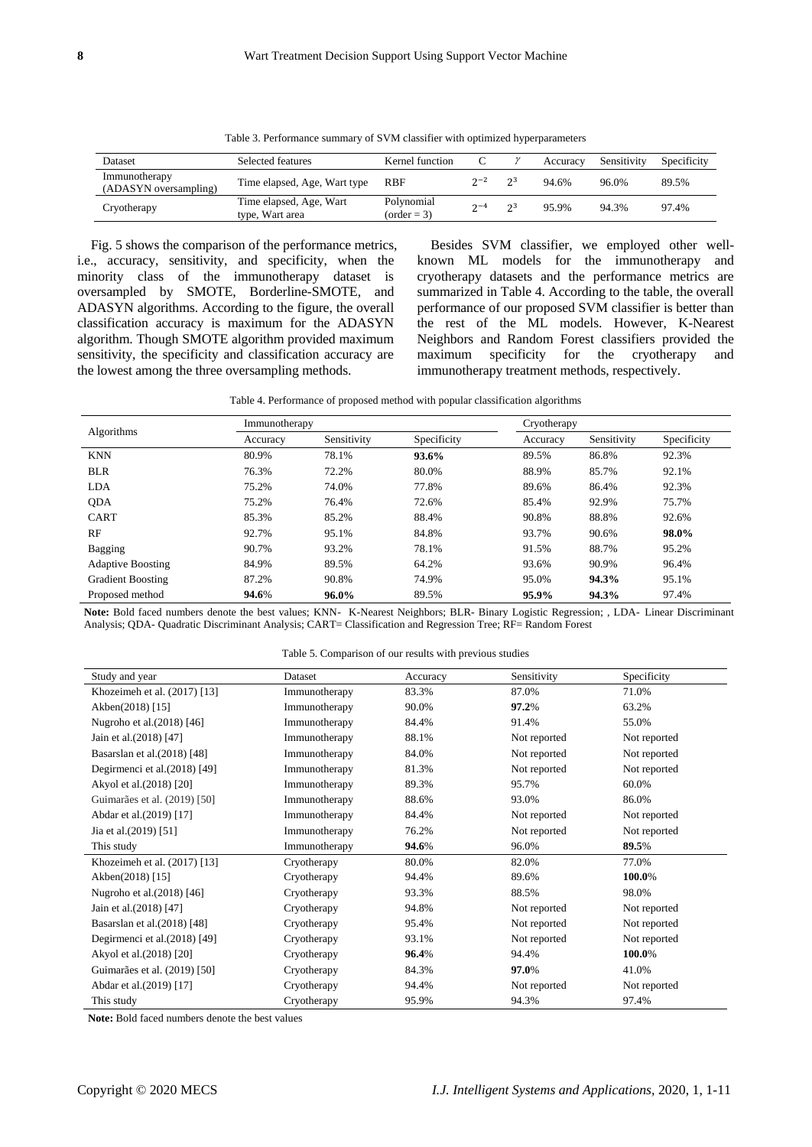Table 3. Performance summary of SVM classifier with optimized hyperparameters

| <b>Dataset</b>                         | Selected features                          | Kernel function             |         |      | Accuracy | Sensitivity | Specificity |
|----------------------------------------|--------------------------------------------|-----------------------------|---------|------|----------|-------------|-------------|
| Immunotherapy<br>(ADASYN oversampling) | Time elapsed, Age, Wart type               | RBF                         | $2 - 2$ | - 23 | 94.6%    | 96.0%       | 89.5%       |
| Cryotherapy                            | Time elapsed, Age, Wart<br>type, Wart area | Polynomial<br>$(order = 3)$ | $2 - 4$ | - 23 | 95.9%    | 94.3%       | 97.4%       |

Fig. 5 shows the comparison of the performance metrics, i.e., accuracy, sensitivity, and specificity, when the minority class of the immunotherapy dataset is oversampled by SMOTE, Borderline-SMOTE, and ADASYN algorithms. According to the figure, the overall classification accuracy is maximum for the ADASYN algorithm. Though SMOTE algorithm provided maximum sensitivity, the specificity and classification accuracy are the lowest among the three oversampling methods.

Besides SVM classifier, we employed other wellknown ML models for the immunotherapy and cryotherapy datasets and the performance metrics are summarized in Table 4. According to the table, the overall performance of our proposed SVM classifier is better than the rest of the ML models. However, K-Nearest Neighbors and Random Forest classifiers provided the maximum specificity for the cryotherapy and immunotherapy treatment methods, respectively.

| Table 4. Performance of proposed method with popular classification algorithms |  |  |  |  |  |
|--------------------------------------------------------------------------------|--|--|--|--|--|
|--------------------------------------------------------------------------------|--|--|--|--|--|

|                          | Immunotherapy |             |             | Cryotherapy |             |             |  |  |
|--------------------------|---------------|-------------|-------------|-------------|-------------|-------------|--|--|
| Algorithms               | Accuracy      | Sensitivity | Specificity | Accuracy    | Sensitivity | Specificity |  |  |
| <b>KNN</b>               | 80.9%         | 78.1%       | 93.6%       | 89.5%       | 86.8%       | 92.3%       |  |  |
| <b>BLR</b>               | 76.3%         | 72.2%       | 80.0%       | 88.9%       | 85.7%       | 92.1%       |  |  |
| <b>LDA</b>               | 75.2%         | 74.0%       | 77.8%       | 89.6%       | 86.4%       | 92.3%       |  |  |
| <b>ODA</b>               | 75.2%         | 76.4%       | 72.6%       | 85.4%       | 92.9%       | 75.7%       |  |  |
| <b>CART</b>              | 85.3%         | 85.2%       | 88.4%       | 90.8%       | 88.8%       | 92.6%       |  |  |
| RF                       | 92.7%         | 95.1%       | 84.8%       | 93.7%       | 90.6%       | 98.0%       |  |  |
| Bagging                  | 90.7%         | 93.2%       | 78.1%       | 91.5%       | 88.7%       | 95.2%       |  |  |
| <b>Adaptive Boosting</b> | 84.9%         | 89.5%       | 64.2%       | 93.6%       | 90.9%       | 96.4%       |  |  |
| <b>Gradient Boosting</b> | 87.2%         | 90.8%       | 74.9%       | 95.0%       | 94.3%       | 95.1%       |  |  |
| Proposed method          | 94.6%         | $96.0\%$    | 89.5%       | 95.9%       | 94.3%       | 97.4%       |  |  |

**Note:** Bold faced numbers denote the best values; KNN- K-Nearest Neighbors; BLR- Binary Logistic Regression; , LDA- Linear Discriminant Analysis; QDA- Quadratic Discriminant Analysis; CART= Classification and Regression Tree; RF= Random Forest

|  |  |  |  |  | Table 5. Comparison of our results with previous studies |  |
|--|--|--|--|--|----------------------------------------------------------|--|
|  |  |  |  |  |                                                          |  |

| Study and year                | Dataset       | Accuracy | Sensitivity  | Specificity  |
|-------------------------------|---------------|----------|--------------|--------------|
| Khozeimeh et al. (2017) [13]  | Immunotherapy | 83.3%    | 87.0%        | 71.0%        |
| Akben(2018) [15]              | Immunotherapy | 90.0%    | 97.2%        | 63.2%        |
| Nugroho et al. (2018) [46]    | Immunotherapy | 84.4%    | 91.4%        | 55.0%        |
| Jain et al. (2018) [47]       | Immunotherapy | 88.1%    | Not reported | Not reported |
| Basarslan et al. (2018) [48]  | Immunotherapy | 84.0%    | Not reported | Not reported |
| Degirmenci et al.(2018) [49]  | Immunotherapy | 81.3%    | Not reported | Not reported |
| Akyol et al. (2018) [20]      | Immunotherapy | 89.3%    | 95.7%        | 60.0%        |
| Guimar ães et al. (2019) [50] | Immunotherapy | 88.6%    | 93.0%        | 86.0%        |
| Abdar et al.(2019) [17]       | Immunotherapy | 84.4%    | Not reported | Not reported |
| Jia et al.(2019) [51]         | Immunotherapy | 76.2%    | Not reported | Not reported |
| This study                    | Immunotherapy | 94.6%    | 96.0%        | 89.5%        |
| Khozeimeh et al. (2017) [13]  | Cryotherapy   | 80.0%    | 82.0%        | 77.0%        |
| Akben(2018) [15]              | Cryotherapy   | 94.4%    | 89.6%        | 100.0%       |
| Nugroho et al. (2018) [46]    | Cryotherapy   | 93.3%    | 88.5%        | 98.0%        |
| Jain et al. (2018) [47]       | Cryotherapy   | 94.8%    | Not reported | Not reported |
| Basarslan et al. (2018) [48]  | Cryotherapy   | 95.4%    | Not reported | Not reported |
| Degirmenci et al. (2018) [49] | Cryotherapy   | 93.1%    | Not reported | Not reported |
| Akyol et al. (2018) [20]      | Cryotherapy   | 96.4%    | 94.4%        | 100.0%       |
| Guimar ães et al. (2019) [50] | Cryotherapy   | 84.3%    | 97.0%        | 41.0%        |
| Abdar et al.(2019) [17]       | Cryotherapy   | 94.4%    | Not reported | Not reported |
| This study                    | Cryotherapy   | 95.9%    | 94.3%        | 97.4%        |

**Note:** Bold faced numbers denote the best values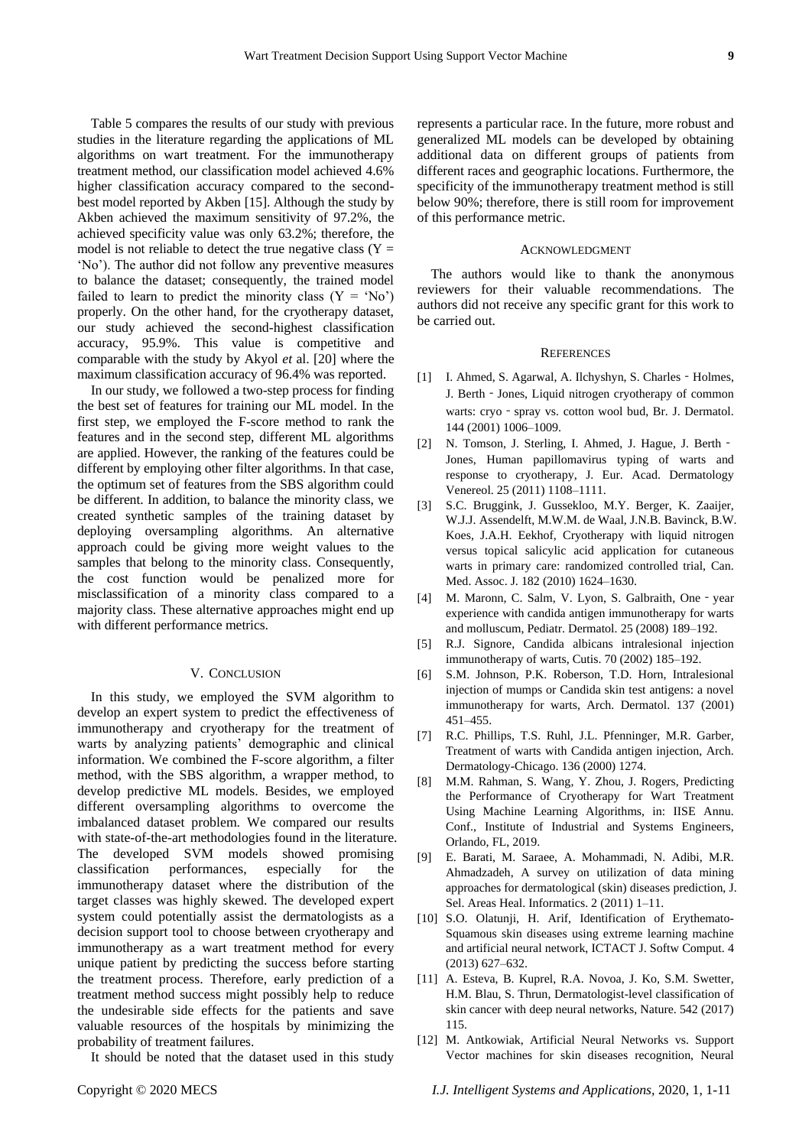Table 5 compares the results of our study with previous studies in the literature regarding the applications of ML algorithms on wart treatment. For the immunotherapy treatment method, our classification model achieved 4.6% higher classification accuracy compared to the secondbest model reported by Akben [15]. Although the study by Akben achieved the maximum sensitivity of 97.2%, the achieved specificity value was only 63.2%; therefore, the model is not reliable to detect the true negative class  $(Y =$ 'No'). The author did not follow any preventive measures to balance the dataset; consequently, the trained model failed to learn to predict the minority class  $(Y = 'No')$ properly. On the other hand, for the cryotherapy dataset, our study achieved the second-highest classification accuracy, 95.9%. This value is competitive and comparable with the study by Akyol *et* al. [20] where the maximum classification accuracy of 96.4% was reported.

In our study, we followed a two-step process for finding the best set of features for training our ML model. In the first step, we employed the F-score method to rank the features and in the second step, different ML algorithms are applied. However, the ranking of the features could be different by employing other filter algorithms. In that case, the optimum set of features from the SBS algorithm could be different. In addition, to balance the minority class, we created synthetic samples of the training dataset by deploying oversampling algorithms. An alternative approach could be giving more weight values to the samples that belong to the minority class. Consequently, the cost function would be penalized more for misclassification of a minority class compared to a majority class. These alternative approaches might end up with different performance metrics.

## V. CONCLUSION

In this study, we employed the SVM algorithm to develop an expert system to predict the effectiveness of immunotherapy and cryotherapy for the treatment of warts by analyzing patients' demographic and clinical information. We combined the F-score algorithm, a filter method, with the SBS algorithm, a wrapper method, to develop predictive ML models. Besides, we employed different oversampling algorithms to overcome the imbalanced dataset problem. We compared our results with state-of-the-art methodologies found in the literature. The developed SVM models showed promising classification performances, especially for the immunotherapy dataset where the distribution of the target classes was highly skewed. The developed expert system could potentially assist the dermatologists as a decision support tool to choose between cryotherapy and immunotherapy as a wart treatment method for every unique patient by predicting the success before starting the treatment process. Therefore, early prediction of a treatment method success might possibly help to reduce the undesirable side effects for the patients and save valuable resources of the hospitals by minimizing the probability of treatment failures.

It should be noted that the dataset used in this study

represents a particular race. In the future, more robust and generalized ML models can be developed by obtaining additional data on different groups of patients from different races and geographic locations. Furthermore, the specificity of the immunotherapy treatment method is still below 90%; therefore, there is still room for improvement of this performance metric.

#### ACKNOWLEDGMENT

The authors would like to thank the anonymous reviewers for their valuable recommendations. The authors did not receive any specific grant for this work to be carried out.

#### **REFERENCES**

- [1] I. Ahmed, S. Agarwal, A. Ilchyshyn, S. Charles Holmes, J. Berth - Jones, Liquid nitrogen cryotherapy of common warts: cryo - spray vs. cotton wool bud, Br. J. Dermatol. 144 (2001) 1006–1009.
- [2] N. Tomson, J. Sterling, I. Ahmed, J. Hague, J. Berth -Jones, Human papillomavirus typing of warts and response to cryotherapy, J. Eur. Acad. Dermatology Venereol. 25 (2011) 1108–1111.
- [3] S.C. Bruggink, J. Gussekloo, M.Y. Berger, K. Zaaijer, W.J.J. Assendelft, M.W.M. de Waal, J.N.B. Bavinck, B.W. Koes, J.A.H. Eekhof, Cryotherapy with liquid nitrogen versus topical salicylic acid application for cutaneous warts in primary care: randomized controlled trial, Can. Med. Assoc. J. 182 (2010) 1624–1630.
- [4] M. Maronn, C. Salm, V. Lyon, S. Galbraith, One year experience with candida antigen immunotherapy for warts and molluscum, Pediatr. Dermatol. 25 (2008) 189–192.
- [5] R.J. Signore, Candida albicans intralesional injection immunotherapy of warts, Cutis. 70 (2002) 185–192.
- [6] S.M. Johnson, P.K. Roberson, T.D. Horn, Intralesional injection of mumps or Candida skin test antigens: a novel immunotherapy for warts, Arch. Dermatol. 137 (2001) 451–455.
- [7] R.C. Phillips, T.S. Ruhl, J.L. Pfenninger, M.R. Garber, Treatment of warts with Candida antigen injection, Arch. Dermatology-Chicago. 136 (2000) 1274.
- [8] M.M. Rahman, S. Wang, Y. Zhou, J. Rogers, Predicting the Performance of Cryotherapy for Wart Treatment Using Machine Learning Algorithms, in: IISE Annu. Conf., Institute of Industrial and Systems Engineers, Orlando, FL, 2019.
- [9] E. Barati, M. Saraee, A. Mohammadi, N. Adibi, M.R. Ahmadzadeh, A survey on utilization of data mining approaches for dermatological (skin) diseases prediction, J. Sel. Areas Heal. Informatics. 2 (2011) 1–11.
- [10] S.O. Olatunji, H. Arif, Identification of Erythemato-Squamous skin diseases using extreme learning machine and artificial neural network, ICTACT J. Softw Comput. 4 (2013) 627–632.
- [11] A. Esteva, B. Kuprel, R.A. Novoa, J. Ko, S.M. Swetter, H.M. Blau, S. Thrun, Dermatologist-level classification of skin cancer with deep neural networks, Nature. 542 (2017) 115.
- [12] M. Antkowiak, Artificial Neural Networks vs. Support Vector machines for skin diseases recognition, Neural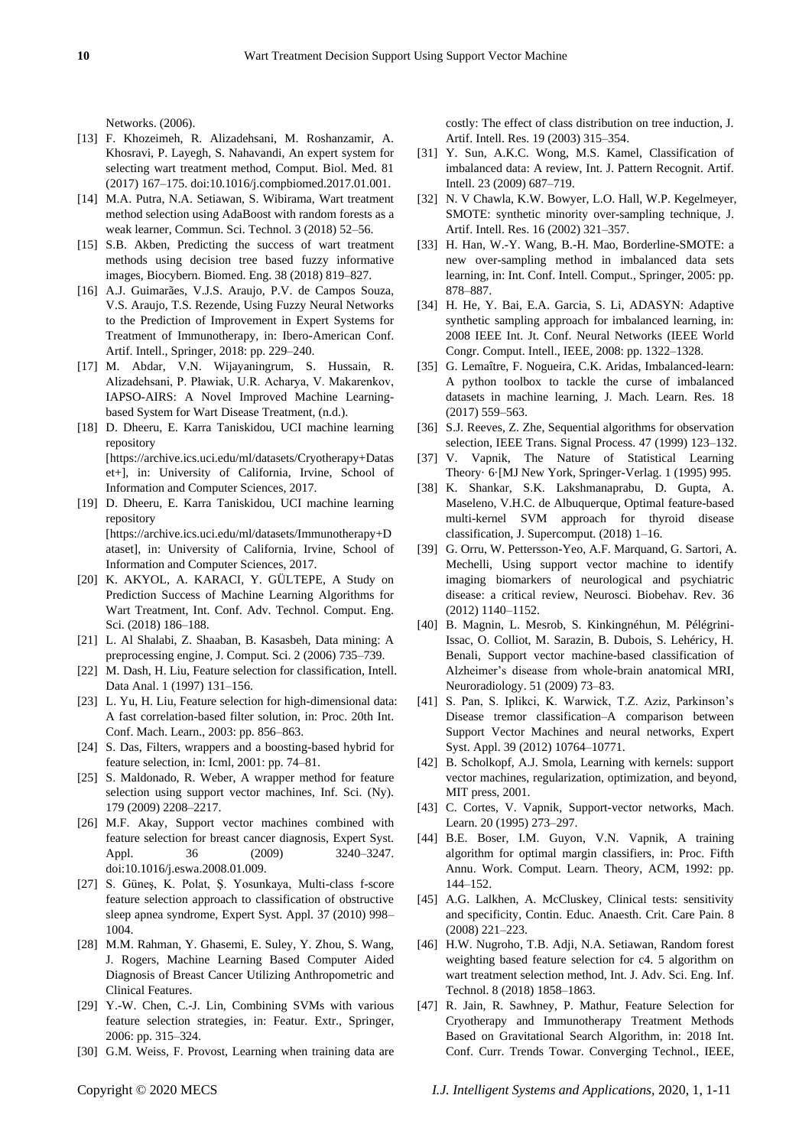Networks. (2006).

- [13] F. Khozeimeh, R. Alizadehsani, M. Roshanzamir, A. Khosravi, P. Layegh, S. Nahavandi, An expert system for selecting wart treatment method, Comput. Biol. Med. 81 (2017) 167–175. doi:10.1016/j.compbiomed.2017.01.001.
- [14] M.A. Putra, N.A. Setiawan, S. Wibirama, Wart treatment method selection using AdaBoost with random forests as a weak learner, Commun. Sci. Technol. 3 (2018) 52–56.
- [15] S.B. Akben, Predicting the success of wart treatment methods using decision tree based fuzzy informative images, Biocybern. Biomed. Eng. 38 (2018) 819–827.
- [16] A.J. Guimarães, V.J.S. Araujo, P.V. de Campos Souza, V.S. Araujo, T.S. Rezende, Using Fuzzy Neural Networks to the Prediction of Improvement in Expert Systems for Treatment of Immunotherapy, in: Ibero-American Conf. Artif. Intell., Springer, 2018: pp. 229–240.
- [17] M. Abdar, V.N. Wijayaningrum, S. Hussain, R. Alizadehsani, P. Pławiak, U.R. Acharya, V. Makarenkov, IAPSO-AIRS: A Novel Improved Machine Learningbased System for Wart Disease Treatment, (n.d.).
- [18] D. Dheeru, E. Karra Taniskidou, UCI machine learning repository [https://archive.ics.uci.edu/ml/datasets/Cryotherapy+Datas et+], in: University of California, Irvine, School of Information and Computer Sciences, 2017.
- [19] D. Dheeru, E. Karra Taniskidou, UCI machine learning repository [https://archive.ics.uci.edu/ml/datasets/Immunotherapy+D ataset], in: University of California, Irvine, School of Information and Computer Sciences, 2017.
- [20] K. AKYOL, A. KARACI, Y. GÜLTEPE, A Study on Prediction Success of Machine Learning Algorithms for Wart Treatment, Int. Conf. Adv. Technol. Comput. Eng. Sci. (2018) 186–188.
- [21] L. Al Shalabi, Z. Shaaban, B. Kasasbeh, Data mining: A preprocessing engine, J. Comput. Sci. 2 (2006) 735–739.
- [22] M. Dash, H. Liu, Feature selection for classification, Intell. Data Anal. 1 (1997) 131–156.
- [23] L. Yu, H. Liu, Feature selection for high-dimensional data: A fast correlation-based filter solution, in: Proc. 20th Int. Conf. Mach. Learn., 2003: pp. 856–863.
- [24] S. Das, Filters, wrappers and a boosting-based hybrid for feature selection, in: Icml, 2001: pp. 74–81.
- [25] S. Maldonado, R. Weber, A wrapper method for feature selection using support vector machines, Inf. Sci. (Ny). 179 (2009) 2208–2217.
- [26] M.F. Akay, Support vector machines combined with feature selection for breast cancer diagnosis, Expert Syst. Appl. 36 (2009) 3240-3247. doi:10.1016/j.eswa.2008.01.009.
- [27] S. Güneş, K. Polat, Ş. Yosunkaya, Multi-class f-score feature selection approach to classification of obstructive sleep apnea syndrome, Expert Syst. Appl. 37 (2010) 998– 1004.
- [28] M.M. Rahman, Y. Ghasemi, E. Suley, Y. Zhou, S. Wang, J. Rogers, Machine Learning Based Computer Aided Diagnosis of Breast Cancer Utilizing Anthropometric and Clinical Features.
- [29] Y.-W. Chen, C.-J. Lin, Combining SVMs with various feature selection strategies, in: Featur. Extr., Springer, 2006: pp. 315–324.
- [30] G.M. Weiss, F. Provost, Learning when training data are

costly: The effect of class distribution on tree induction, J. Artif. Intell. Res. 19 (2003) 315–354.

- [31] Y. Sun, A.K.C. Wong, M.S. Kamel, Classification of imbalanced data: A review, Int. J. Pattern Recognit. Artif. Intell. 23 (2009) 687–719.
- [32] N. V Chawla, K.W. Bowyer, L.O. Hall, W.P. Kegelmeyer, SMOTE: synthetic minority over-sampling technique, J. Artif. Intell. Res. 16 (2002) 321–357.
- [33] H. Han, W.-Y. Wang, B.-H. Mao, Borderline-SMOTE: a new over-sampling method in imbalanced data sets learning, in: Int. Conf. Intell. Comput., Springer, 2005: pp. 878–887.
- [34] H. He, Y. Bai, E.A. Garcia, S. Li, ADASYN: Adaptive synthetic sampling approach for imbalanced learning, in: 2008 IEEE Int. Jt. Conf. Neural Networks (IEEE World Congr. Comput. Intell., IEEE, 2008: pp. 1322–1328.
- [35] G. Lema fre, F. Nogueira, C.K. Aridas, Imbalanced-learn: A python toolbox to tackle the curse of imbalanced datasets in machine learning, J. Mach. Learn. Res. 18 (2017) 559–563.
- [36] S.J. Reeves, Z. Zhe, Sequential algorithms for observation selection, IEEE Trans. Signal Process. 47 (1999) 123–132.
- [37] V. Vapnik, The Nature of Statistical Learning Theory  $\cdot$  6 [MJ New York, Springer-Verlag. 1 (1995) 995.
- [38] K. Shankar, S.K. Lakshmanaprabu, D. Gupta, A. Maseleno, V.H.C. de Albuquerque, Optimal feature-based multi-kernel SVM approach for thyroid disease classification, J. Supercomput. (2018) 1–16.
- [39] G. Orru, W. Pettersson-Yeo, A.F. Marquand, G. Sartori, A. Mechelli, Using support vector machine to identify imaging biomarkers of neurological and psychiatric disease: a critical review, Neurosci. Biobehav. Rev. 36 (2012) 1140–1152.
- [40] B. Magnin, L. Mesrob, S. Kinkingnéhun, M. Pélégrini-Issac, O. Colliot, M. Sarazin, B. Dubois, S. Lehéricy, H. Benali, Support vector machine-based classification of Alzheimer's disease from whole-brain anatomical MRI, Neuroradiology. 51 (2009) 73–83.
- [41] S. Pan, S. Iplikci, K. Warwick, T.Z. Aziz, Parkinson's Disease tremor classification–A comparison between Support Vector Machines and neural networks, Expert Syst. Appl. 39 (2012) 10764–10771.
- [42] B. Scholkopf, A.J. Smola, Learning with kernels: support vector machines, regularization, optimization, and beyond, MIT press, 2001.
- [43] C. Cortes, V. Vapnik, Support-vector networks, Mach. Learn. 20 (1995) 273–297.
- [44] B.E. Boser, I.M. Guyon, V.N. Vapnik, A training algorithm for optimal margin classifiers, in: Proc. Fifth Annu. Work. Comput. Learn. Theory, ACM, 1992: pp. 144–152.
- [45] A.G. Lalkhen, A. McCluskey, Clinical tests: sensitivity and specificity, Contin. Educ. Anaesth. Crit. Care Pain. 8 (2008) 221–223.
- [46] H.W. Nugroho, T.B. Adji, N.A. Setiawan, Random forest weighting based feature selection for c4. 5 algorithm on wart treatment selection method, Int. J. Adv. Sci. Eng. Inf. Technol. 8 (2018) 1858–1863.
- [47] R. Jain, R. Sawhney, P. Mathur, Feature Selection for Cryotherapy and Immunotherapy Treatment Methods Based on Gravitational Search Algorithm, in: 2018 Int. Conf. Curr. Trends Towar. Converging Technol., IEEE,